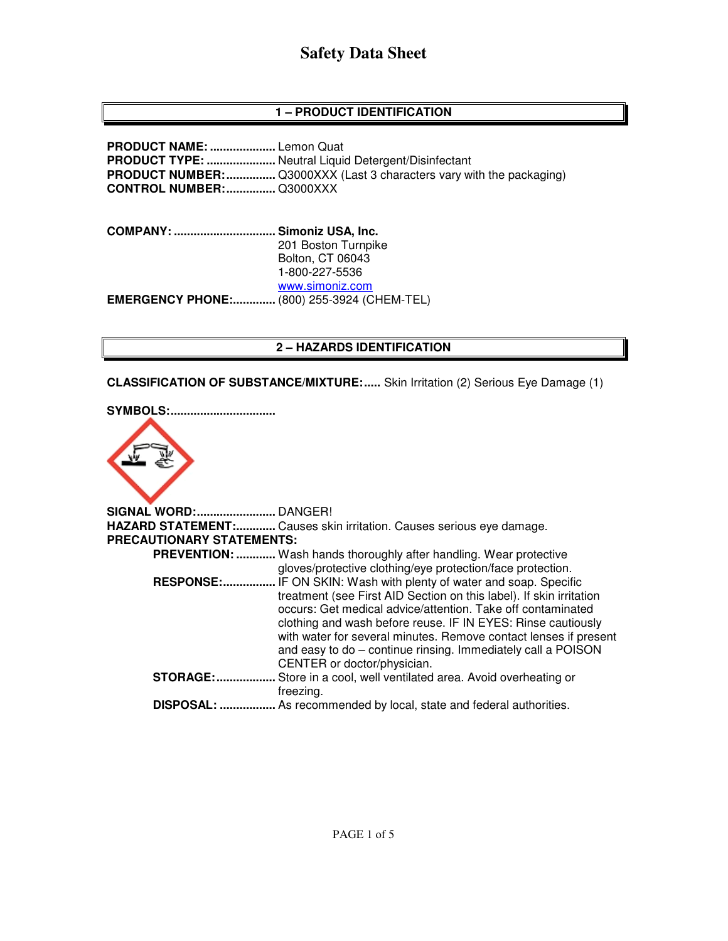# **Safety Data Sheet**

## **1 – PRODUCT IDENTIFICATION**

**PRODUCT NAME: ....................** Lemon Quat **PRODUCT TYPE: .....................** Neutral Liquid Detergent/Disinfectant **PRODUCT NUMBER:** ................. Q3000XXX (Last 3 characters vary with the packaging) **CONTROL NUMBER: ...............** Q3000XXX

**COMPANY: ............................... Simoniz USA, Inc.** 201 Boston Turnpike Bolton, CT 06043 1-800-227-5536 www.simoniz.com **EMERGENCY PHONE:.............** (800) 255-3924 (CHEM-TEL)

#### **2 – HAZARDS IDENTIFICATION**

**CLASSIFICATION OF SUBSTANCE/MIXTURE:.....** Skin Irritation (2) Serious Eye Damage (1)



| SIGNAL WORD:              | DANGER!                                                                                                                                                                                                                                                                                                                                                                                                                           |
|---------------------------|-----------------------------------------------------------------------------------------------------------------------------------------------------------------------------------------------------------------------------------------------------------------------------------------------------------------------------------------------------------------------------------------------------------------------------------|
|                           | HAZARD STATEMENT: Causes skin irritation. Causes serious eye damage.                                                                                                                                                                                                                                                                                                                                                              |
| PRECAUTIONARY STATEMENTS: |                                                                                                                                                                                                                                                                                                                                                                                                                                   |
| <b>PREVENTION: </b>       | Wash hands thoroughly after handling. Wear protective<br>gloves/protective clothing/eye protection/face protection.                                                                                                                                                                                                                                                                                                               |
| <b>RESPONSE:</b>          | IF ON SKIN: Wash with plenty of water and soap. Specific<br>treatment (see First AID Section on this label). If skin irritation<br>occurs: Get medical advice/attention. Take off contaminated<br>clothing and wash before reuse. IF IN EYES: Rinse cautiously<br>with water for several minutes. Remove contact lenses if present<br>and easy to do – continue rinsing. Immediately call a POISON<br>CENTER or doctor/physician. |
| <b>STORAGE:</b>           | Store in a cool, well ventilated area. Avoid overheating or<br>freezing.                                                                                                                                                                                                                                                                                                                                                          |
| DISPOSAL:                 | As recommended by local, state and federal authorities.                                                                                                                                                                                                                                                                                                                                                                           |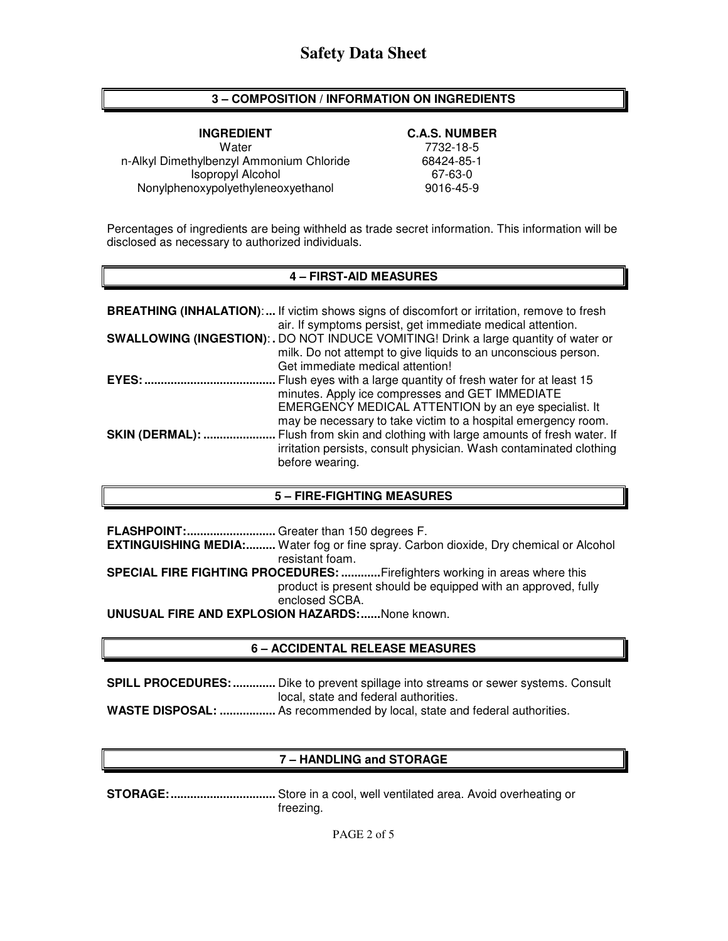#### **3 – COMPOSITION / INFORMATION ON INGREDIENTS**

**INGREDIENT C.A.S. NUMBER**  Water 7732-18-5 n-Alkyl Dimethylbenzyl Ammonium Chloride 68424-85-18-18<br>67-63-0 67-63-1 Isopropyl Alcohol Nonylphenoxypolyethyleneoxyethanol 9016-45-9

Percentages of ingredients are being withheld as trade secret information. This information will be disclosed as necessary to authorized individuals.

#### **4 – FIRST-AID MEASURES**

|                | <b>BREATHING (INHALATION):</b> If victim shows signs of discomfort or irritation, remove to fresh<br>air. If symptoms persist, get immediate medical attention.                                                                             |
|----------------|---------------------------------------------------------------------------------------------------------------------------------------------------------------------------------------------------------------------------------------------|
|                | SWALLOWING (INGESTION): . DO NOT INDUCE VOMITING! Drink a large quantity of water or<br>milk. Do not attempt to give liquids to an unconscious person.                                                                                      |
|                | Get immediate medical attention!                                                                                                                                                                                                            |
| EYES:          | Flush eyes with a large quantity of fresh water for at least 15<br>minutes. Apply ice compresses and GET IMMEDIATE<br>EMERGENCY MEDICAL ATTENTION by an eye specialist. It<br>may be necessary to take victim to a hospital emergency room. |
| SKIN (DERMAL): | Flush from skin and clothing with large amounts of fresh water. If<br>irritation persists, consult physician. Wash contaminated clothing<br>before wearing.                                                                                 |

#### **5 – FIRE-FIGHTING MEASURES**

**FLASHPOINT: ...........................** Greater than 150 degrees F. **EXTINGUISHING MEDIA:.........** Water fog or fine spray. Carbon dioxide, Dry chemical or Alcohol resistant foam. **SPECIAL FIRE FIGHTING PROCEDURES: ............** Firefighters working in areas where this product is present should be equipped with an approved, fully enclosed SCBA. **UNUSUAL FIRE AND EXPLOSION HAZARDS: ......** None known.

#### **6 – ACCIDENTAL RELEASE MEASURES**

**SPILL PROCEDURES: .............** Dike to prevent spillage into streams or sewer systems. Consult local, state and federal authorities. **WASTE DISPOSAL: .................** As recommended by local, state and federal authorities.

#### **7 – HANDLING and STORAGE**

**STORAGE: ................................** Store in a cool, well ventilated area. Avoid overheating or freezing.

PAGE 2 of 5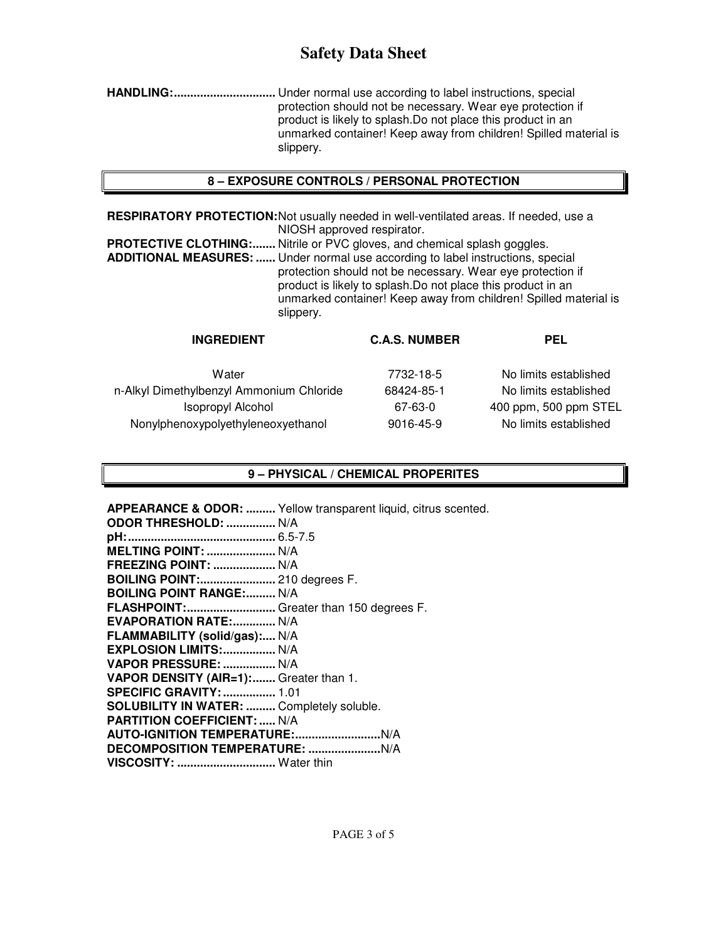# **Safety Data Sheet**

**HANDLING: ...............................** Under normal use according to label instructions, special protection should not be necessary. Wear eye protection if product is likely to splash.Do not place this product in an unmarked container! Keep away from children! Spilled material is slippery.

#### **8 – EXPOSURE CONTROLS / PERSONAL PROTECTION**

**RESPIRATORY PROTECTION:** Not usually needed in well-ventilated areas. If needed, use a NIOSH approved respirator.

**PROTECTIVE CLOTHING:.......** Nitrile or PVC gloves, and chemical splash goggles. **ADDITIONAL MEASURES: ......** Under normal use according to label instructions, special protection should not be necessary. Wear eye protection if product is likely to splash.Do not place this product in an unmarked container! Keep away from children! Spilled material is slippery.

| <b>INGREDIENT</b>                        | <b>C.A.S. NUMBER</b> | <b>PEL</b>            |
|------------------------------------------|----------------------|-----------------------|
| Water                                    | 7732-18-5            | No limits established |
| n-Alkyl Dimethylbenzyl Ammonium Chloride | 68424-85-1           | No limits established |
| <b>Isopropyl Alcohol</b>                 | 67-63-0              | 400 ppm, 500 ppm STEL |
| Nonylphenoxypolyethyleneoxyethanol       | 9016-45-9            | No limits established |
|                                          |                      |                       |

#### **9 – PHYSICAL / CHEMICAL PROPERITES**

**APPEARANCE & ODOR: .........** Yellow transparent liquid, citrus scented. **ODOR THRESHOLD: ...............** N/A **pH: .............................................** 6.5-7.5 **MELTING POINT: .....................** N/A **FREEZING POINT: ...................** N/A **BOILING POINT:.......................** 210 degrees F. **BOILING POINT RANGE:......... N/A FLASHPOINT: ...........................** Greater than 150 degrees F. **EVAPORATION RATE: .............. N/A FLAMMABILITY (solid/gas):....** N/A **EXPLOSION LIMITS: ................** N/A **VAPOR PRESSURE: ................** N/A **VAPOR DENSITY (AIR=1): .......** Greater than 1. **SPECIFIC GRAVITY: ................** 1.01 **SOLUBILITY IN WATER: .........** Completely soluble. **PARTITION COEFFICIENT: .....** N/A **AUTO-IGNITION TEMPERATURE: ..........................** N/A **DECOMPOSITION TEMPERATURE: ......................** N/A **VISCOSITY: ..............................** Water thin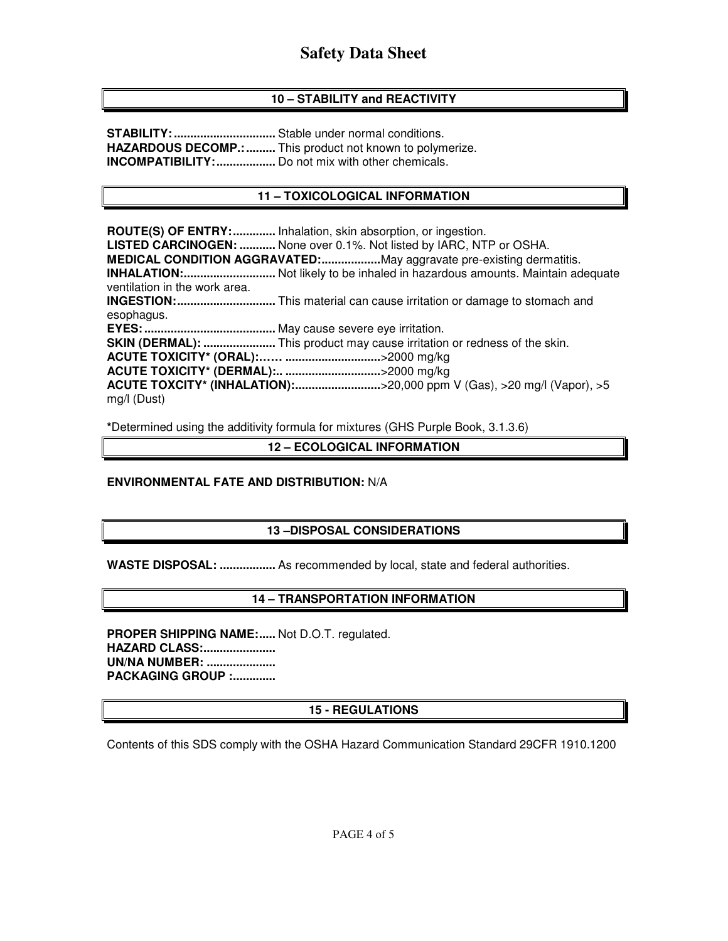## **10 – STABILITY and REACTIVITY**

**STABILITY: ...............................** Stable under normal conditions. **HAZARDOUS DECOMP.: .........** This product not known to polymerize. **INCOMPATIBILITY: ..................** Do not mix with other chemicals.

### **11 – TOXICOLOGICAL INFORMATION**

**ROUTE(S) OF ENTRY: .............** Inhalation, skin absorption, or ingestion. **LISTED CARCINOGEN: ...........** None over 0.1%. Not listed by IARC, NTP or OSHA. **MEDICAL CONDITION AGGRAVATED: ..................** May aggravate pre-existing dermatitis. **INHALATION: ............................** Not likely to be inhaled in hazardous amounts. Maintain adequate ventilation in the work area. **INGESTION: ..............................** This material can cause irritation or damage to stomach and esophagus. **EYES: ........................................** May cause severe eye irritation. **SKIN (DERMAL): ......................** This product may cause irritation or redness of the skin. **ACUTE TOXICITY\* (ORAL):…… .............................** >2000 mg/kg **ACUTE TOXICITY\* (DERMAL):.. .............................** >2000 mg/kg **ACUTE TOXCITY\* (INHALATION): ..........................** >20,000 ppm V (Gas), >20 mg/l (Vapor), >5 mg/l (Dust)

**\***Determined using the additivity formula for mixtures (GHS Purple Book, 3.1.3.6)

**12 – ECOLOGICAL INFORMATION** 

#### **ENVIRONMENTAL FATE AND DISTRIBUTION:** N/A

## **13 –DISPOSAL CONSIDERATIONS**

**WASTE DISPOSAL: .................** As recommended by local, state and federal authorities.

#### **14 – TRANSPORTATION INFORMATION**

PROPER SHIPPING NAME:..... Not D.O.T. regulated. **HAZARD CLASS: ...................... UN/NA NUMBER: ..................... PACKAGING GROUP :.............** 

#### **15 - REGULATIONS**

Contents of this SDS comply with the OSHA Hazard Communication Standard 29CFR 1910.1200